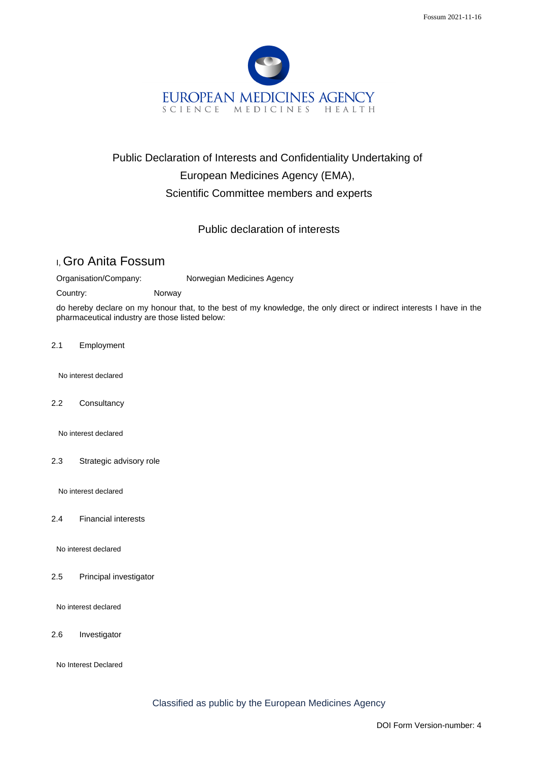

## Public Declaration of Interests and Confidentiality Undertaking of European Medicines Agency (EMA), Scientific Committee members and experts

## Public declaration of interests

## I, Gro Anita Fossum

Organisation/Company: Norwegian Medicines Agency

Country: Norway

do hereby declare on my honour that, to the best of my knowledge, the only direct or indirect interests I have in the pharmaceutical industry are those listed below:

2.1 Employment

No interest declared

2.2 Consultancy

No interest declared

2.3 Strategic advisory role

No interest declared

2.4 Financial interests

No interest declared

2.5 Principal investigator

No interest declared

2.6 Investigator

No Interest Declared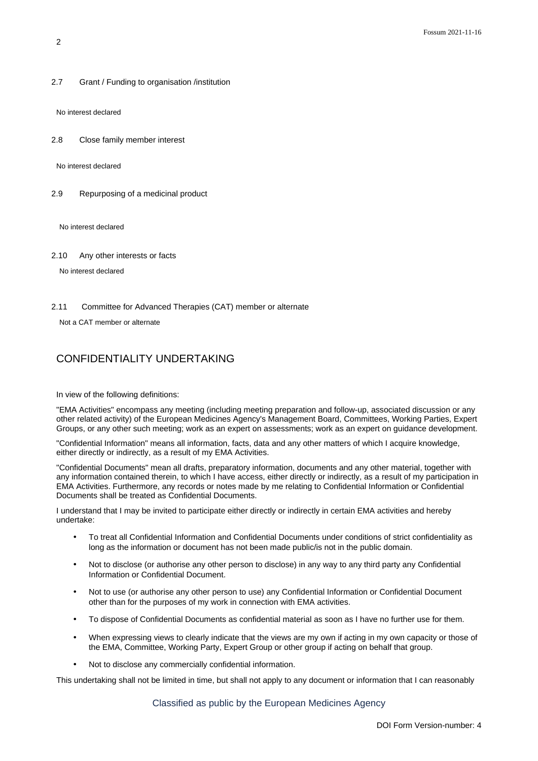2.7 Grant / Funding to organisation /institution

No interest declared

2.8 Close family member interest

No interest declared

2.9 Repurposing of a medicinal product

No interest declared

2.10 Any other interests or facts

No interest declared

2.11 Committee for Advanced Therapies (CAT) member or alternate

Not a CAT member or alternate

## CONFIDENTIALITY UNDERTAKING

In view of the following definitions:

"EMA Activities" encompass any meeting (including meeting preparation and follow-up, associated discussion or any other related activity) of the European Medicines Agency's Management Board, Committees, Working Parties, Expert Groups, or any other such meeting; work as an expert on assessments; work as an expert on guidance development.

"Confidential Information" means all information, facts, data and any other matters of which I acquire knowledge, either directly or indirectly, as a result of my EMA Activities.

"Confidential Documents" mean all drafts, preparatory information, documents and any other material, together with any information contained therein, to which I have access, either directly or indirectly, as a result of my participation in EMA Activities. Furthermore, any records or notes made by me relating to Confidential Information or Confidential Documents shall be treated as Confidential Documents.

I understand that I may be invited to participate either directly or indirectly in certain EMA activities and hereby undertake:

- To treat all Confidential Information and Confidential Documents under conditions of strict confidentiality as long as the information or document has not been made public/is not in the public domain.
- Not to disclose (or authorise any other person to disclose) in any way to any third party any Confidential Information or Confidential Document.
- Not to use (or authorise any other person to use) any Confidential Information or Confidential Document other than for the purposes of my work in connection with EMA activities.
- To dispose of Confidential Documents as confidential material as soon as I have no further use for them.
- When expressing views to clearly indicate that the views are my own if acting in my own capacity or those of the EMA, Committee, Working Party, Expert Group or other group if acting on behalf that group.
- Not to disclose any commercially confidential information.

This undertaking shall not be limited in time, but shall not apply to any document or information that I can reasonably

Classified as public by the European Medicines Agency